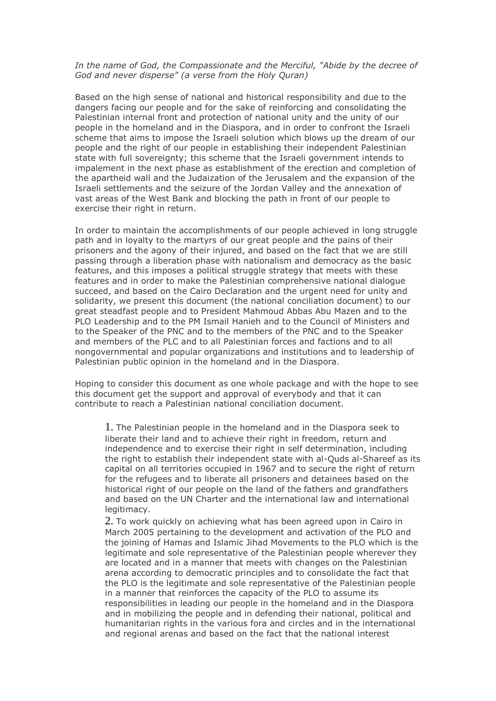## *In the name of God, the Compassionate and the Merciful, "Abide by the decree of God and never disperse" (a verse from the Holy Quran)*

Based on the high sense of national and historical responsibility and due to the dangers facing our people and for the sake of reinforcing and consolidating the Palestinian internal front and protection of national unity and the unity of our people in the homeland and in the Diaspora, and in order to confront the Israeli scheme that aims to impose the Israeli solution which blows up the dream of our people and the right of our people in establishing their independent Palestinian state with full sovereignty; this scheme that the Israeli government intends to impalement in the next phase as establishment of the erection and completion of the apartheid wall and the Judaization of the Jerusalem and the expansion of the Israeli settlements and the seizure of the Jordan Valley and the annexation of vast areas of the West Bank and blocking the path in front of our people to exercise their right in return.

In order to maintain the accomplishments of our people achieved in long struggle path and in loyalty to the martyrs of our great people and the pains of their prisoners and the agony of their injured, and based on the fact that we are still passing through a liberation phase with nationalism and democracy as the basic features, and this imposes a political struggle strategy that meets with these features and in order to make the Palestinian comprehensive national dialogue succeed, and based on the Cairo Declaration and the urgent need for unity and solidarity, we present this document (the national conciliation document) to our great steadfast people and to President Mahmoud Abbas Abu Mazen and to the PLO Leadership and to the PM Ismail Hanieh and to the Council of Ministers and to the Speaker of the PNC and to the members of the PNC and to the Speaker and members of the PLC and to all Palestinian forces and factions and to all nongovernmental and popular organizations and institutions and to leadership of Palestinian public opinion in the homeland and in the Diaspora.

Hoping to consider this document as one whole package and with the hope to see this document get the support and approval of everybody and that it can contribute to reach a Palestinian national conciliation document.

1. The Palestinian people in the homeland and in the Diaspora seek to liberate their land and to achieve their right in freedom, return and independence and to exercise their right in self determination, including the right to establish their independent state with al-Quds al-Shareef as its capital on all territories occupied in 1967 and to secure the right of return for the refugees and to liberate all prisoners and detainees based on the historical right of our people on the land of the fathers and grandfathers and based on the UN Charter and the international law and international legitimacy.

2. To work quickly on achieving what has been agreed upon in Cairo in March 2005 pertaining to the development and activation of the PLO and the joining of Hamas and Islamic Jihad Movements to the PLO which is the legitimate and sole representative of the Palestinian people wherever they are located and in a manner that meets with changes on the Palestinian arena according to democratic principles and to consolidate the fact that the PLO is the legitimate and sole representative of the Palestinian people in a manner that reinforces the capacity of the PLO to assume its responsibilities in leading our people in the homeland and in the Diaspora and in mobilizing the people and in defending their national, political and humanitarian rights in the various fora and circles and in the international and regional arenas and based on the fact that the national interest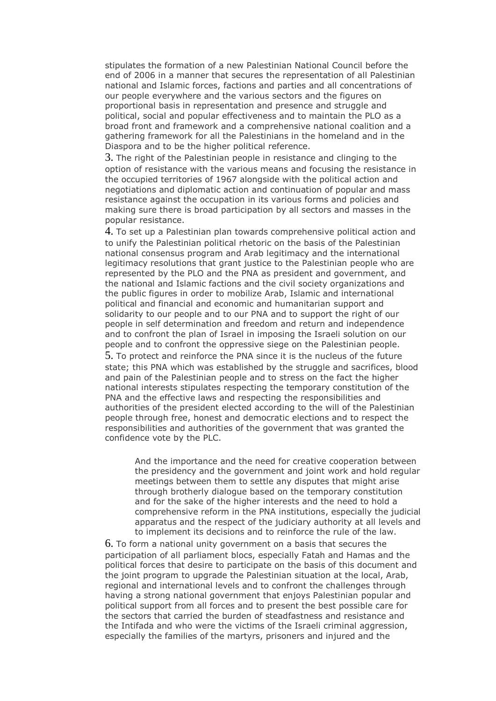stipulates the formation of a new Palestinian National Council before the end of 2006 in a manner that secures the representation of all Palestinian national and Islamic forces, factions and parties and all concentrations of our people everywhere and the various sectors and the figures on proportional basis in representation and presence and struggle and political, social and popular effectiveness and to maintain the PLO as a broad front and framework and a comprehensive national coalition and a gathering framework for all the Palestinians in the homeland and in the Diaspora and to be the higher political reference.

3. The right of the Palestinian people in resistance and clinging to the option of resistance with the various means and focusing the resistance in the occupied territories of 1967 alongside with the political action and negotiations and diplomatic action and continuation of popular and mass resistance against the occupation in its various forms and policies and making sure there is broad participation by all sectors and masses in the popular resistance.

4. To set up a Palestinian plan towards comprehensive political action and to unify the Palestinian political rhetoric on the basis of the Palestinian national consensus program and Arab legitimacy and the international legitimacy resolutions that grant justice to the Palestinian people who are represented by the PLO and the PNA as president and government, and the national and Islamic factions and the civil society organizations and the public figures in order to mobilize Arab, Islamic and international political and financial and economic and humanitarian support and solidarity to our people and to our PNA and to support the right of our people in self determination and freedom and return and independence and to confront the plan of Israel in imposing the Israeli solution on our people and to confront the oppressive siege on the Palestinian people.

5. To protect and reinforce the PNA since it is the nucleus of the future state; this PNA which was established by the struggle and sacrifices, blood and pain of the Palestinian people and to stress on the fact the higher national interests stipulates respecting the temporary constitution of the PNA and the effective laws and respecting the responsibilities and authorities of the president elected according to the will of the Palestinian people through free, honest and democratic elections and to respect the responsibilities and authorities of the government that was granted the confidence vote by the PLC.

And the importance and the need for creative cooperation between the presidency and the government and joint work and hold regular meetings between them to settle any disputes that might arise through brotherly dialogue based on the temporary constitution and for the sake of the higher interests and the need to hold a comprehensive reform in the PNA institutions, especially the judicial apparatus and the respect of the judiciary authority at all levels and to implement its decisions and to reinforce the rule of the law.

6. To form a national unity government on a basis that secures the participation of all parliament blocs, especially Fatah and Hamas and the political forces that desire to participate on the basis of this document and the joint program to upgrade the Palestinian situation at the local, Arab, regional and international levels and to confront the challenges through having a strong national government that enjoys Palestinian popular and political support from all forces and to present the best possible care for the sectors that carried the burden of steadfastness and resistance and the Intifada and who were the victims of the Israeli criminal aggression, especially the families of the martyrs, prisoners and injured and the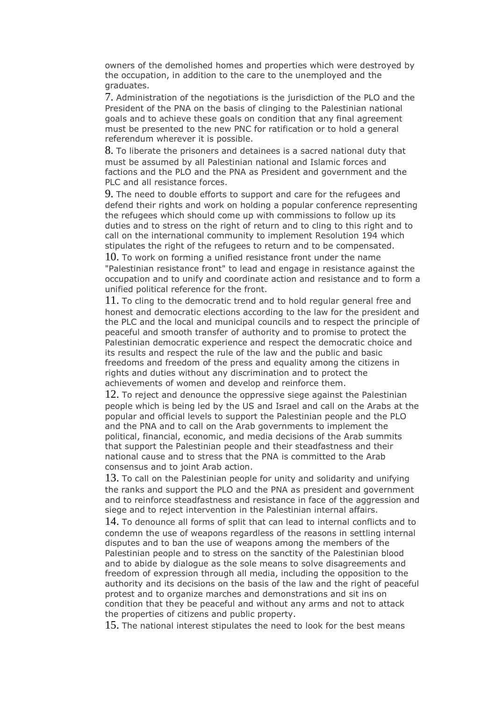owners of the demolished homes and properties which were destroyed by the occupation, in addition to the care to the unemployed and the graduates.

7. Administration of the negotiations is the jurisdiction of the PLO and the President of the PNA on the basis of clinging to the Palestinian national goals and to achieve these goals on condition that any final agreement must be presented to the new PNC for ratification or to hold a general referendum wherever it is possible.

8. To liberate the prisoners and detainees is a sacred national duty that must be assumed by all Palestinian national and Islamic forces and factions and the PLO and the PNA as President and government and the PLC and all resistance forces.

9. The need to double efforts to support and care for the refugees and defend their rights and work on holding a popular conference representing the refugees which should come up with commissions to follow up its duties and to stress on the right of return and to cling to this right and to call on the international community to implement Resolution 194 which stipulates the right of the refugees to return and to be compensated.

 $10.$  To work on forming a unified resistance front under the name "Palestinian resistance front" to lead and engage in resistance against the occupation and to unify and coordinate action and resistance and to form a unified political reference for the front.

11. To cling to the democratic trend and to hold regular general free and honest and democratic elections according to the law for the president and the PLC and the local and municipal councils and to respect the principle of peaceful and smooth transfer of authority and to promise to protect the Palestinian democratic experience and respect the democratic choice and its results and respect the rule of the law and the public and basic freedoms and freedom of the press and equality among the citizens in rights and duties without any discrimination and to protect the achievements of women and develop and reinforce them.

12. To reject and denounce the oppressive siege against the Palestinian people which is being led by the US and Israel and call on the Arabs at the popular and official levels to support the Palestinian people and the PLO and the PNA and to call on the Arab governments to implement the political, financial, economic, and media decisions of the Arab summits that support the Palestinian people and their steadfastness and their national cause and to stress that the PNA is committed to the Arab consensus and to joint Arab action.

13. To call on the Palestinian people for unity and solidarity and unifying the ranks and support the PLO and the PNA as president and government and to reinforce steadfastness and resistance in face of the aggression and siege and to reject intervention in the Palestinian internal affairs.

14. To denounce all forms of split that can lead to internal conflicts and to condemn the use of weapons regardless of the reasons in settling internal disputes and to ban the use of weapons among the members of the Palestinian people and to stress on the sanctity of the Palestinian blood and to abide by dialogue as the sole means to solve disagreements and freedom of expression through all media, including the opposition to the authority and its decisions on the basis of the law and the right of peaceful protest and to organize marches and demonstrations and sit ins on condition that they be peaceful and without any arms and not to attack the properties of citizens and public property.

15. The national interest stipulates the need to look for the best means